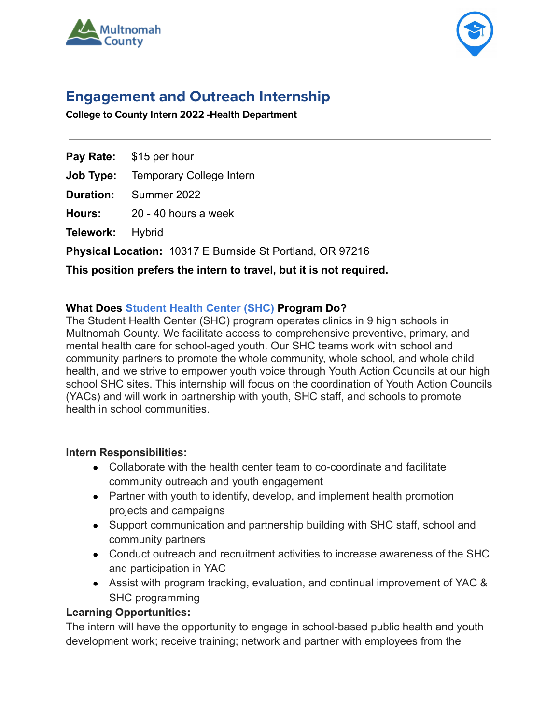



# **Engagement and Outreach Internship**

**College to County Intern 2022 -Health Department**

**Pay Rate:** \$15 per hour

**Job Type:** Temporary College Intern

**Duration:** Summer 2022

**Hours:** 20 - 40 hours a week

**Telework:** Hybrid

**Physical Location:** 10317 E Burnside St Portland, OR 97216

**This position prefers the intern to travel, but it is not required.**

## **What Does [Student Health Center \(SHC\)](https://multco.us/health/school-based-health-centers) Program Do?**

The [Student Health Center \(SHC\) program](https://multco.us/health/school-based-health-centers) operates clinics in 9 high schools in Multnomah County. We facilitate access to comprehensive preventive, primary, and mental health care for school-aged youth. Our SHC teams work with school and community partners to promote the whole community, whole school, and whole child health, and we strive to empower youth voice through Youth Action Councils at our high school SHC sites. This internship will focus on the coordination of Youth Action Councils (YACs) and will work in partnership with youth, SHC staff, and schools to promote health in school communities.

### **Intern Responsibilities:**

- Collaborate with the health center team to co-coordinate and facilitate community outreach and youth engagement
- Partner with youth to identify, develop, and implement health promotion projects and campaigns
- Support communication and partnership building with SHC staff, school and community partners
- Conduct outreach and recruitment activities to increase awareness of the SHC and participation in YAC
- Assist with program tracking, evaluation, and continual improvement of YAC & SHC programming

## **Learning Opportunities:**

The intern will have the opportunity to engage in school-based public health and youth development work; receive training; network and partner with employees from the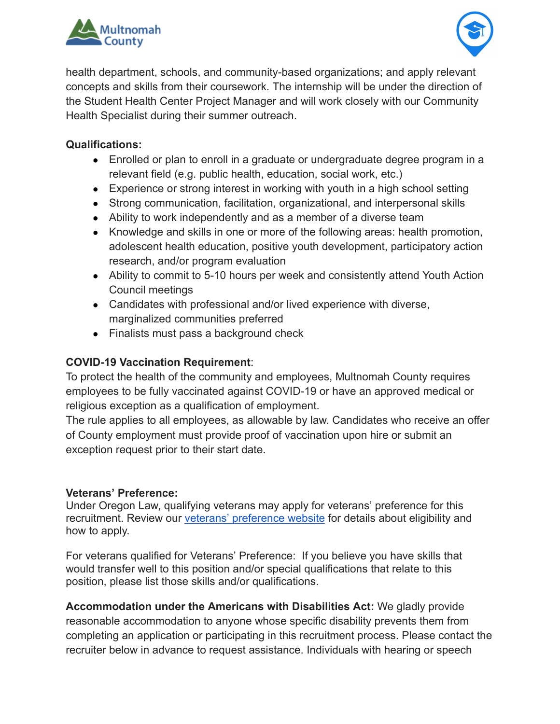



health department, schools, and community-based organizations; and apply relevant concepts and skills from their coursework. The internship will be under the direction of the Student Health Center Project Manager and will work closely with our Community Health Specialist during their summer outreach.

## **Qualifications:**

- Enrolled or plan to enroll in a graduate or undergraduate degree program in a relevant field (e.g. public health, education, social work, etc.)
- Experience or strong interest in working with youth in a high school setting
- Strong communication, facilitation, organizational, and interpersonal skills
- Ability to work independently and as a member of a diverse team
- Knowledge and skills in one or more of the following areas: health promotion, adolescent health education, positive youth development, participatory action research, and/or program evaluation
- Ability to commit to 5-10 hours per week and consistently attend Youth Action Council meetings
- Candidates with professional and/or lived experience with diverse, marginalized communities preferred
- Finalists must pass a background check

## **COVID-19 Vaccination Requirement**:

To protect the health of the community and employees, Multnomah County requires employees to be fully vaccinated against COVID-19 or have an approved medical or religious exception as a qualification of employment.

The rule applies to all employees, as allowable by law. Candidates who receive an offer of County employment must provide proof of vaccination upon hire or submit an exception request prior to their start date.

### **Veterans' Preference:**

Under Oregon Law, qualifying veterans may apply for veterans' preference for this recruitment. Review our [veterans' preference website](http://multco.us/jobs/veterans-preference-information-and-instructions) for details about eligibility and how to apply.

For veterans qualified for Veterans' Preference: If you believe you have skills that would transfer well to this position and/or special qualifications that relate to this position, please list those skills and/or qualifications.

**Accommodation under the Americans with Disabilities Act:** We gladly provide reasonable accommodation to anyone whose specific disability prevents them from completing an application or participating in this recruitment process. Please contact the recruiter below in advance to request assistance. Individuals with hearing or speech